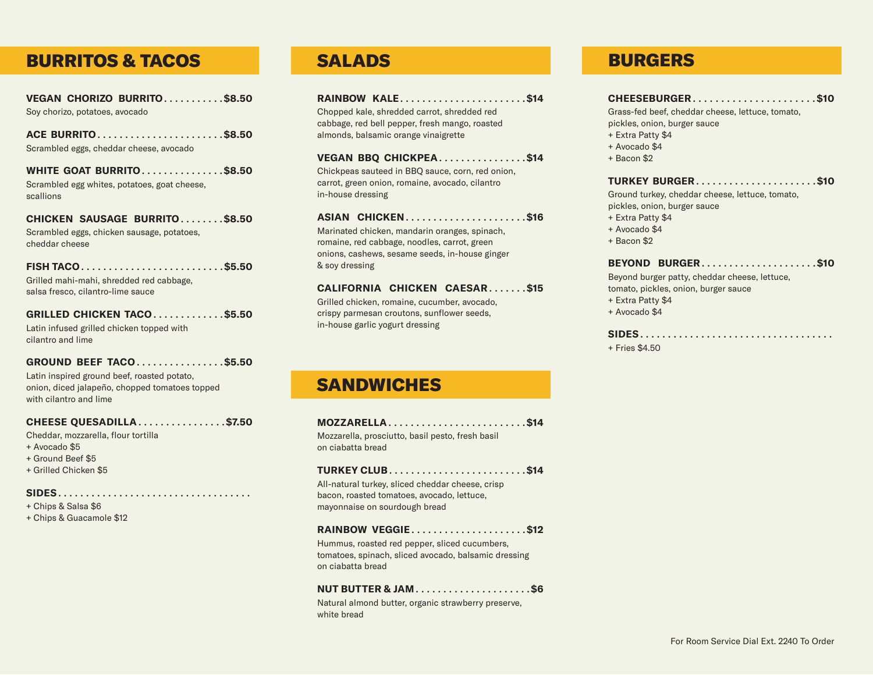### BURRITOS & TACOS

**VEGAN CHORIZO BURRITO**...........**\$8.50** Soy chorizo, potatoes, avocado

**ACE BURRITO**.......................**\$8.50** Scrambled eggs, cheddar cheese, avocado

**WHITE GOAT BURRITO**...............**\$8.50** Scrambled egg whites, potatoes, goat cheese, scallions

**CHICKEN SAUSAGE BURRITO**........**\$8.50** Scrambled eggs, chicken sausage, potatoes, cheddar cheese

**FISH TACO**..........................**\$5.50** Grilled mahi-mahi, shredded red cabbage, salsa fresco, cilantro-lime sauce

### **GRILLED CHICKEN TACO**.............**\$5.50**

Latin infused grilled chicken topped with cilantro and lime

#### **GROUND BEEF TACO**................**\$5.50**

Latin inspired ground beef, roasted potato, onion, diced jalapeño, chopped tomatoes topped with cilantro and lime

### **CHEESE QUESADILLA**................**\$7.50**

Cheddar, mozzarella, flour tortilla

- + Avocado \$5
- + Ground Beef \$5
- + Grilled Chicken \$5

#### **SIDES**...................................

- + Chips & Salsa \$6
- + Chips & Guacamole \$12

**RAINBOW KALE**.......................**\$14**

Chopped kale, shredded carrot, shredded red cabbage, red bell pepper, fresh mango, roasted almonds, balsamic orange vinaigrette

**VEGAN BBQ CHICKPEA**................**\$14** Chickpeas sauteed in BBQ sauce, corn, red onion, carrot, green onion, romaine, avocado, cilantro in-house dressing

### **ASIAN CHICKEN**......................**\$16**

Marinated chicken, mandarin oranges, spinach, romaine, red cabbage, noodles, carrot, green onions, cashews, sesame seeds, in-house ginger & soy dressing

### **CALIFORNIA CHICKEN CAESAR**.......**\$15**

Grilled chicken, romaine, cucumber, avocado, crispy parmesan croutons, sunflower seeds, in-house garlic yogurt dressing

### **SANDWICHES**

| MOZZARELLA\$14<br>Mozzarella, prosciutto, basil pesto, fresh basil<br>on ciabatta bread                                         |
|---------------------------------------------------------------------------------------------------------------------------------|
| All-natural turkey, sliced cheddar cheese, crisp<br>bacon, roasted tomatoes, avocado, lettuce,<br>mayonnaise on sourdough bread |
| RAINBOW VEGGIE\$12<br>Hummus, roasted red pepper, sliced cucumbers,<br>.                                                        |

tomatoes, spinach, sliced avocado, balsamic dressing on ciabatta bread

### **NUT BUTTER & JAM**.....................**\$6**

Natural almond butter, organic strawberry preserve, white bread

### SALADS BURGERS

**CHEESEBURGER**......................**\$10**

Grass-fed beef, cheddar cheese, lettuce, tomato, pickles, onion, burger sauce

- + Extra Patty \$4
- + Avocado \$4
- + Bacon \$2

### **TURKEY BURGER**......................**\$10**

Ground turkey, cheddar cheese, lettuce, tomato, pickles, onion, burger sauce

- + Extra Patty \$4
- + Avocado \$4
- + Bacon \$2

### **BEYOND BURGER**.....................**\$10**

Beyond burger patty, cheddar cheese, lettuce, tomato, pickles, onion, burger sauce

- + Extra Patty \$4
- + Avocado \$4

#### **SIDES**...................................

+ Fries \$4.50